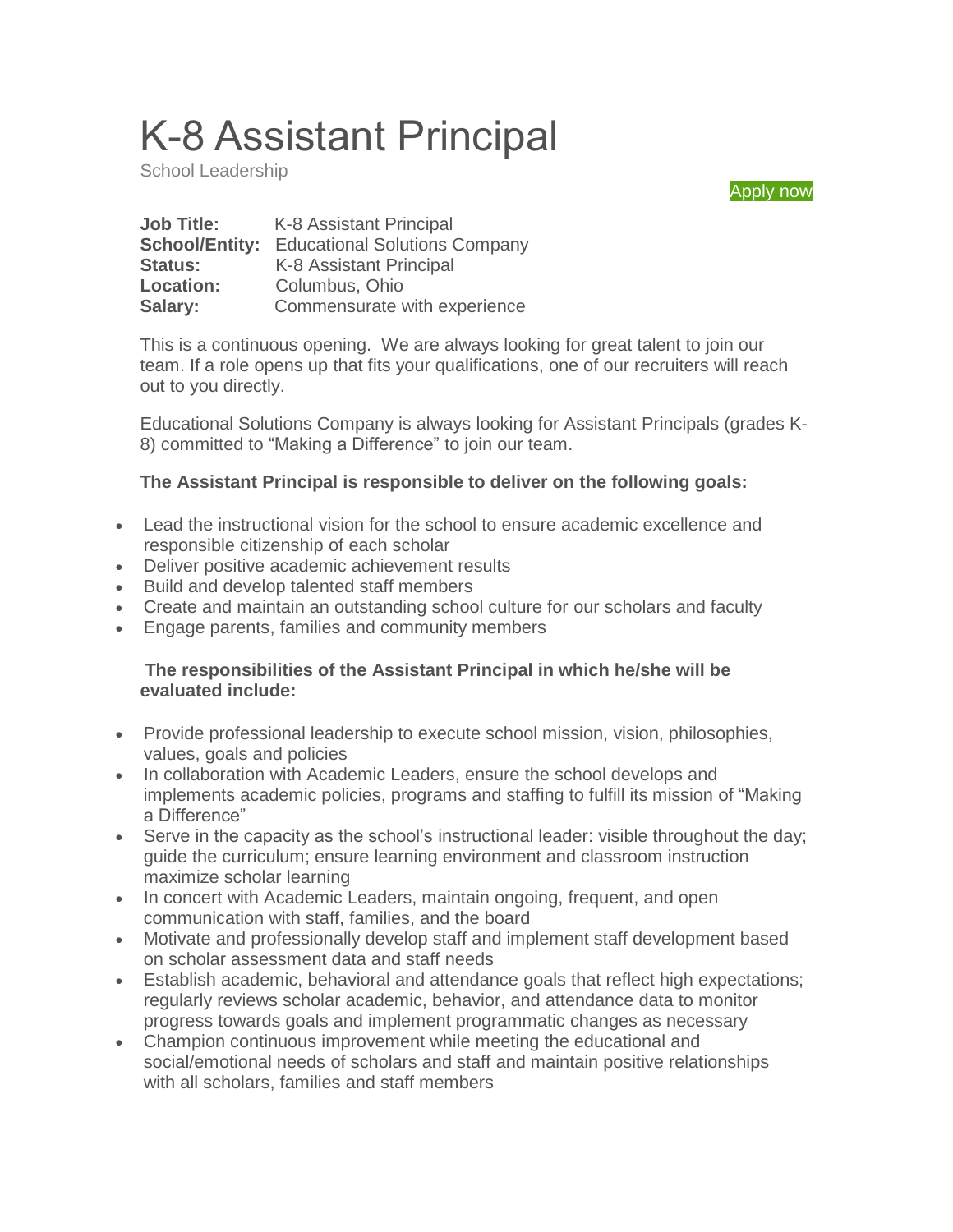# K-8 Assistant Principal

School Leadership

[Apply now](https://form.jotform.com/61095133228148)

| <b>Job Title:</b>     | K-8 Assistant Principal              |
|-----------------------|--------------------------------------|
| <b>School/Entity:</b> | <b>Educational Solutions Company</b> |
| <b>Status:</b>        | K-8 Assistant Principal              |
| <b>Location:</b>      | Columbus, Ohio                       |
| Salary:               | Commensurate with experience         |

This is a continuous opening. We are always looking for great talent to join our team. If a role opens up that fits your qualifications, one of our recruiters will reach out to you directly.

Educational Solutions Company is always looking for Assistant Principals (grades K-8) committed to "Making a Difference" to join our team.

### **The Assistant Principal is responsible to deliver on the following goals:**

- Lead the instructional vision for the school to ensure academic excellence and responsible citizenship of each scholar
- Deliver positive academic achievement results
- Build and develop talented staff members
- Create and maintain an outstanding school culture for our scholars and faculty
- Engage parents, families and community members

### **The responsibilities of the Assistant Principal in which he/she will be evaluated include:**

- Provide professional leadership to execute school mission, vision, philosophies, values, goals and policies
- In collaboration with Academic Leaders, ensure the school develops and implements academic policies, programs and staffing to fulfill its mission of "Making a Difference"
- Serve in the capacity as the school's instructional leader: visible throughout the day; guide the curriculum; ensure learning environment and classroom instruction maximize scholar learning
- In concert with Academic Leaders, maintain ongoing, frequent, and open communication with staff, families, and the board
- Motivate and professionally develop staff and implement staff development based on scholar assessment data and staff needs
- Establish academic, behavioral and attendance goals that reflect high expectations; regularly reviews scholar academic, behavior, and attendance data to monitor progress towards goals and implement programmatic changes as necessary
- Champion continuous improvement while meeting the educational and social/emotional needs of scholars and staff and maintain positive relationships with all scholars, families and staff members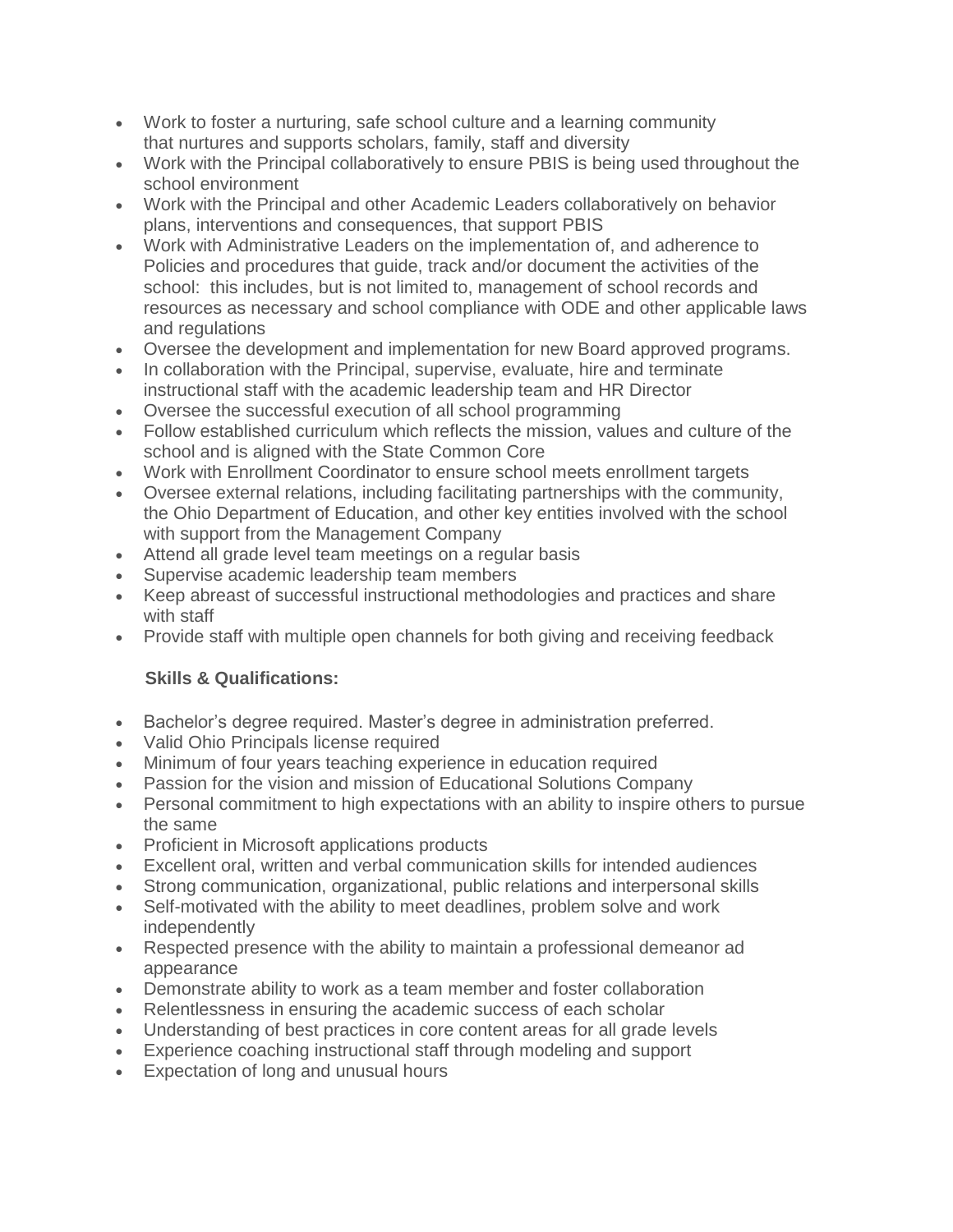- Work to foster a nurturing, safe school culture and a learning community that nurtures and supports scholars, family, staff and diversity
- Work with the Principal collaboratively to ensure PBIS is being used throughout the school environment
- Work with the Principal and other Academic Leaders collaboratively on behavior plans, interventions and consequences, that support PBIS
- Work with Administrative Leaders on the implementation of, and adherence to Policies and procedures that guide, track and/or document the activities of the school: this includes, but is not limited to, management of school records and resources as necessary and school compliance with ODE and other applicable laws and regulations
- Oversee the development and implementation for new Board approved programs.
- In collaboration with the Principal, supervise, evaluate, hire and terminate instructional staff with the academic leadership team and HR Director
- Oversee the successful execution of all school programming
- Follow established curriculum which reflects the mission, values and culture of the school and is aligned with the State Common Core
- Work with Enrollment Coordinator to ensure school meets enrollment targets
- Oversee external relations, including facilitating partnerships with the community, the Ohio Department of Education, and other key entities involved with the school with support from the Management Company
- Attend all grade level team meetings on a regular basis
- Supervise academic leadership team members
- Keep abreast of successful instructional methodologies and practices and share with staff
- Provide staff with multiple open channels for both giving and receiving feedback

### **Skills & Qualifications:**

- Bachelor's degree required. Master's degree in administration preferred.
- Valid Ohio Principals license required
- Minimum of four years teaching experience in education required
- Passion for the vision and mission of Educational Solutions Company
- Personal commitment to high expectations with an ability to inspire others to pursue the same
- Proficient in Microsoft applications products
- Excellent oral, written and verbal communication skills for intended audiences
- Strong communication, organizational, public relations and interpersonal skills
- Self-motivated with the ability to meet deadlines, problem solve and work independently
- Respected presence with the ability to maintain a professional demeanor ad appearance
- Demonstrate ability to work as a team member and foster collaboration
- Relentlessness in ensuring the academic success of each scholar
- Understanding of best practices in core content areas for all grade levels
- Experience coaching instructional staff through modeling and support
- Expectation of long and unusual hours